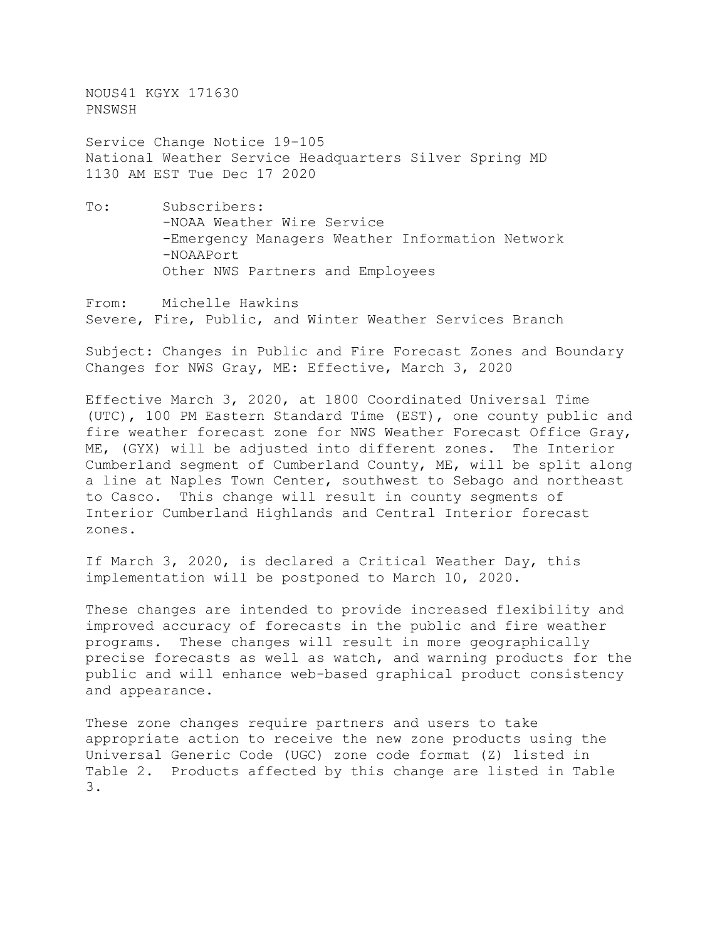NOUS41 KGYX 171630 PNSWSH

Service Change Notice 19-105 National Weather Service Headquarters Silver Spring MD 1130 AM EST Tue Dec 17 2020

To: Subscribers: -NOAA Weather Wire Service -Emergency Managers Weather Information Network -NOAAPort Other NWS Partners and Employees

From: Michelle Hawkins Severe, Fire, Public, and Winter Weather Services Branch

Subject: Changes in Public and Fire Forecast Zones and Boundary Changes for NWS Gray, ME: Effective, March 3, 2020

Effective March 3, 2020, at 1800 Coordinated Universal Time (UTC), 100 PM Eastern Standard Time (EST), one county public and fire weather forecast zone for NWS Weather Forecast Office Gray, ME, (GYX) will be adjusted into different zones. The Interior Cumberland segment of Cumberland County, ME, will be split along a line at Naples Town Center, southwest to Sebago and northeast to Casco. This change will result in county segments of Interior Cumberland Highlands and Central Interior forecast zones.

If March 3, 2020, is declared a Critical Weather Day, this implementation will be postponed to March 10, 2020.

These changes are intended to provide increased flexibility and improved accuracy of forecasts in the public and fire weather programs. These changes will result in more geographically precise forecasts as well as watch, and warning products for the public and will enhance web-based graphical product consistency and appearance.

These zone changes require partners and users to take appropriate action to receive the new zone products using the Universal Generic Code (UGC) zone code format (Z) listed in Table 2. Products affected by this change are listed in Table 3.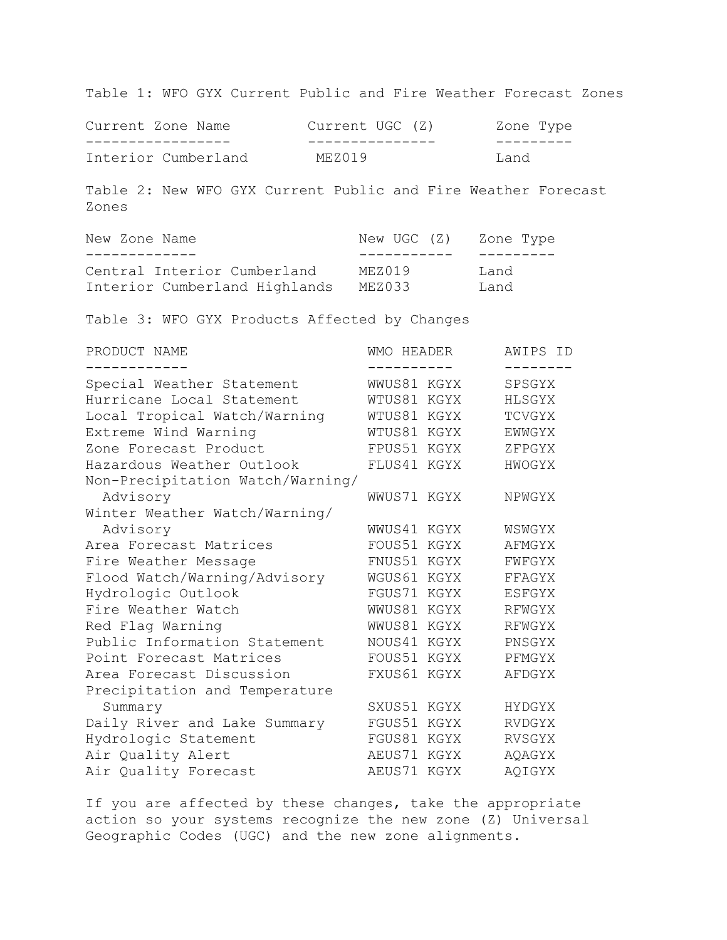Table 1: WFO GYX Current Public and Fire Weather Forecast Zones

| Current Zone Name   |  | Current UGC (Z) |  |      | Zone Type |
|---------------------|--|-----------------|--|------|-----------|
|                     |  |                 |  |      |           |
| Interior Cumberland |  | MEZ019          |  | Land |           |

Table 2: New WFO GYX Current Public and Fire Weather Forecast Zones

| New Zone Name                 | New UGC (Z) | Zone Type |
|-------------------------------|-------------|-----------|
|                               |             |           |
| Central Interior Cumberland   | MEZ019      | Land      |
| Interior Cumberland Highlands | MEZ033      | Land      |

Table 3: WFO GYX Products Affected by Changes

| PRODUCT NAME                     | <b>WMO HEADER</b> | AWIPS ID       |
|----------------------------------|-------------------|----------------|
| Special Weather Statement        | WWUS81 KGYX       | SPSGYX         |
| Hurricane Local Statement        | WTUS81 KGYX       | HLSGYX         |
| Local Tropical Watch/Warning     | WTUS81 KGYX       | TCVGYX         |
| Extreme Wind Warning             | WTUS81 KGYX       | EWWGYX         |
| Zone Forecast Product            | FPUS51 KGYX       | ZFPGYX         |
| Hazardous Weather Outlook        | FLUS41 KGYX       | HWOGYX         |
| Non-Precipitation Watch/Warning/ |                   |                |
| Advisory                         | WWUS71 KGYX       | NPWGYX         |
| Winter Weather Watch/Warning/    |                   |                |
| Advisory                         | WWUS41 KGYX       | WSWGYX         |
| Area Forecast Matrices           | FOUS51            | KGYX<br>AFMGYX |
| Fire Weather Message             | FNUS51 KGYX       | FWFGYX         |
| Flood Watch/Warning/Advisory     | WGUS61 KGYX       | FFAGYX         |
| Hydrologic Outlook               | FGUS71 KGYX       | ESFGYX         |
| Fire Weather Watch               | WWUS81 KGYX       | RFWGYX         |
| Red Flag Warning                 | WWUS81 KGYX       | RFWGYX         |
| Public Information Statement     | NOUS41 KGYX       | PNSGYX         |
| Point Forecast Matrices          | FOUS51            | KGYX<br>PFMGYX |
| Area Forecast Discussion         | FXUS61 KGYX       | AFDGYX         |
| Precipitation and Temperature    |                   |                |
| Summary                          | SXUS51            | KGYX<br>HYDGYX |
| Daily River and Lake Summary     | FGUS51 KGYX       | RVDGYX         |
| Hydrologic Statement             | FGUS81 KGYX       | <b>RVSGYX</b>  |
| Air Quality Alert                | AEUS71 KGYX       | AQAGYX         |
| Air Quality Forecast             | AEUS71 KGYX       | AQIGYX         |

If you are affected by these changes, take the appropriate action so your systems recognize the new zone (Z) Universal Geographic Codes (UGC) and the new zone alignments.